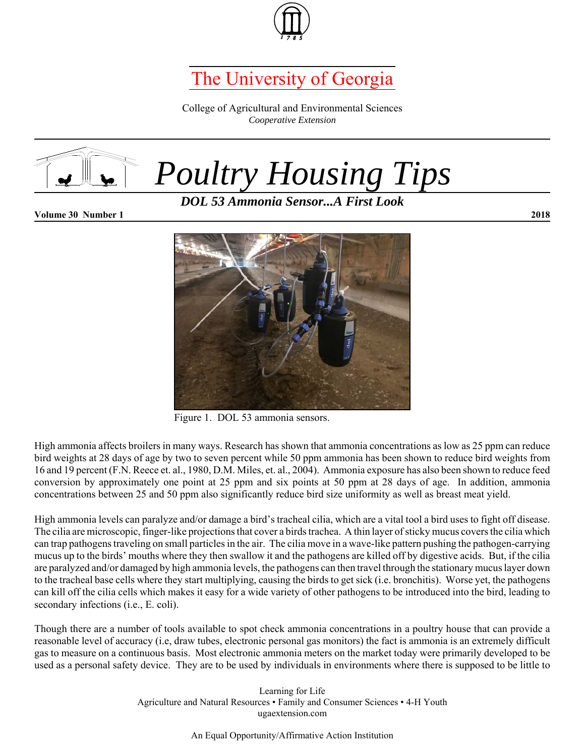

## The University of Georgia

College of Agricultural and Environmental Sciences *Cooperative Extension*



*Poultry Housing Tips*

*DOL 53 Ammonia Sensor...A First Look*

**Volume 30 Number 1 2018**



Figure 1. DOL 53 ammonia sensors.

High ammonia affects broilers in many ways. Research has shown that ammonia concentrations as low as 25 ppm can reduce bird weights at 28 days of age by two to seven percent while 50 ppm ammonia has been shown to reduce bird weights from 16 and 19 percent (F.N. Reece et. al., 1980, D.M. Miles, et. al., 2004). Ammonia exposure has also been shown to reduce feed conversion by approximately one point at 25 ppm and six points at 50 ppm at 28 days of age. In addition, ammonia concentrations between 25 and 50 ppm also significantly reduce bird size uniformity as well as breast meat yield.

High ammonia levels can paralyze and/or damage a bird's tracheal cilia, which are a vital tool a bird uses to fight off disease. The cilia are microscopic, finger-like projections that cover a birds trachea. A thin layer of sticky mucus covers the cilia which can trap pathogens traveling on small particles in the air. The cilia move in a wave-like pattern pushing the pathogen-carrying mucus up to the birds' mouths where they then swallow it and the pathogens are killed off by digestive acids. But, if the cilia are paralyzed and/or damaged by high ammonia levels, the pathogens can then travel through the stationary mucus layer down to the tracheal base cells where they start multiplying, causing the birds to get sick (i.e. bronchitis). Worse yet, the pathogens can kill off the cilia cells which makes it easy for a wide variety of other pathogens to be introduced into the bird, leading to secondary infections (i.e., E. coli).

Though there are a number of tools available to spot check ammonia concentrations in a poultry house that can provide a reasonable level of accuracy (i.e, draw tubes, electronic personal gas monitors) the fact is ammonia is an extremely difficult gas to measure on a continuous basis. Most electronic ammonia meters on the market today were primarily developed to be used as a personal safety device. They are to be used by individuals in environments where there is supposed to be little to

> Learning for Life Agriculture and Natural Resources • Family and Consumer Sciences • 4-H Youth ugaextension.com

> > An Equal Opportunity/Affirmative Action Institution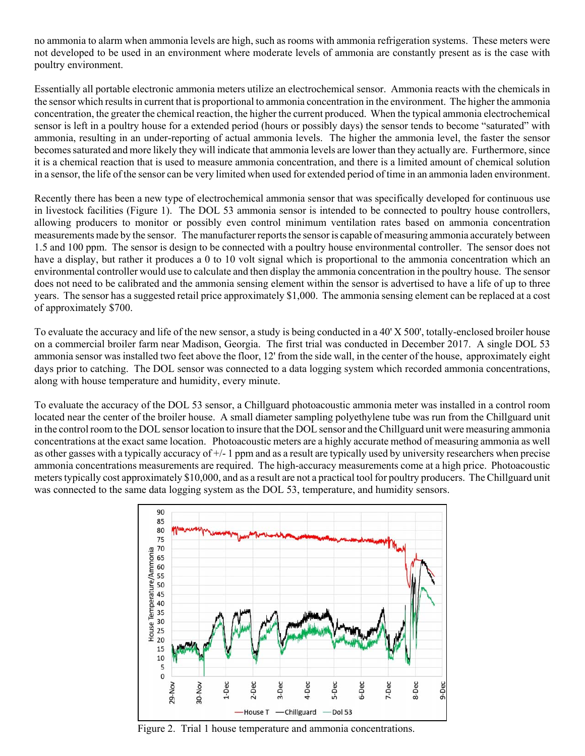no ammonia to alarm when ammonia levels are high, such as rooms with ammonia refrigeration systems. These meters were not developed to be used in an environment where moderate levels of ammonia are constantly present as is the case with poultry environment.

Essentially all portable electronic ammonia meters utilize an electrochemical sensor. Ammonia reacts with the chemicals in the sensor which results in current that is proportional to ammonia concentration in the environment. The higher the ammonia concentration, the greater the chemical reaction, the higher the current produced. When the typical ammonia electrochemical sensor is left in a poultry house for a extended period (hours or possibly days) the sensor tends to become "saturated" with ammonia, resulting in an under-reporting of actual ammonia levels. The higher the ammonia level, the faster the sensor becomes saturated and more likely they will indicate that ammonia levels are lower than they actually are. Furthermore, since it is a chemical reaction that is used to measure ammonia concentration, and there is a limited amount of chemical solution in a sensor, the life of the sensor can be very limited when used for extended period of time in an ammonia laden environment.

Recently there has been a new type of electrochemical ammonia sensor that was specifically developed for continuous use in livestock facilities (Figure 1). The DOL 53 ammonia sensor is intended to be connected to poultry house controllers, allowing producers to monitor or possibly even control minimum ventilation rates based on ammonia concentration measurements made by the sensor. The manufacturer reports the sensor is capable of measuring ammonia accurately between 1.5 and 100 ppm. The sensor is design to be connected with a poultry house environmental controller. The sensor does not have a display, but rather it produces a 0 to 10 volt signal which is proportional to the ammonia concentration which an environmental controller would use to calculate and then display the ammonia concentration in the poultry house. The sensor does not need to be calibrated and the ammonia sensing element within the sensor is advertised to have a life of up to three years. The sensor has a suggested retail price approximately \$1,000. The ammonia sensing element can be replaced at a cost of approximately \$700.

To evaluate the accuracy and life of the new sensor, a study is being conducted in a 40' X 500', totally-enclosed broiler house on a commercial broiler farm near Madison, Georgia. The first trial was conducted in December 2017. A single DOL 53 ammonia sensor was installed two feet above the floor, 12' from the side wall, in the center of the house, approximately eight days prior to catching. The DOL sensor was connected to a data logging system which recorded ammonia concentrations, along with house temperature and humidity, every minute.

To evaluate the accuracy of the DOL 53 sensor, a Chillguard photoacoustic ammonia meter was installed in a control room located near the center of the broiler house. A small diameter sampling polyethylene tube was run from the Chillguard unit in the control room to the DOL sensor location to insure that the DOL sensor and the Chillguard unit were measuring ammonia concentrations at the exact same location. Photoacoustic meters are a highly accurate method of measuring ammonia as well as other gasses with a typically accuracy of +/- 1 ppm and as a result are typically used by university researchers when precise ammonia concentrations measurements are required. The high-accuracy measurements come at a high price. Photoacoustic meters typically cost approximately \$10,000, and as a result are not a practical tool for poultry producers. The Chillguard unit was connected to the same data logging system as the DOL 53, temperature, and humidity sensors.



Figure 2. Trial 1 house temperature and ammonia concentrations.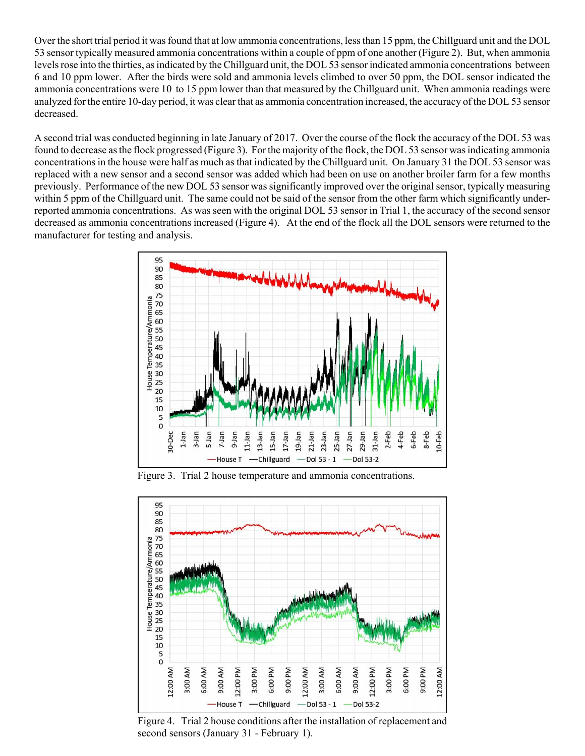Over the short trial period it was found that at low ammonia concentrations, less than 15 ppm, the Chillguard unit and the DOL 53 sensor typically measured ammonia concentrations within a couple of ppm of one another (Figure 2). But, when ammonia levels rose into the thirties, as indicated by the Chillguard unit, the DOL 53 sensor indicated ammonia concentrations between 6 and 10 ppm lower. After the birds were sold and ammonia levels climbed to over 50 ppm, the DOL sensor indicated the ammonia concentrations were 10 to 15 ppm lower than that measured by the Chillguard unit. When ammonia readings were analyzed for the entire 10-day period, it was clear that as ammonia concentration increased, the accuracy of the DOL 53 sensor decreased.

A second trial was conducted beginning in late January of 2017. Over the course of the flock the accuracy of the DOL 53 was found to decrease as the flock progressed (Figure 3). For the majority of the flock, the DOL 53 sensor was indicating ammonia concentrations in the house were half as much as that indicated by the Chillguard unit. On January 31 the DOL 53 sensor was replaced with a new sensor and a second sensor was added which had been on use on another broiler farm for a few months previously. Performance of the new DOL 53 sensor was significantly improved over the original sensor, typically measuring within 5 ppm of the Chillguard unit. The same could not be said of the sensor from the other farm which significantly underreported ammonia concentrations. As was seen with the original DOL 53 sensor in Trial 1, the accuracy of the second sensor decreased as ammonia concentrations increased (Figure 4). At the end of the flock all the DOL sensors were returned to the manufacturer for testing and analysis.



Figure 3. Trial 2 house temperature and ammonia concentrations.



Figure 4. Trial 2 house conditions after the installation of replacement and second sensors (January 31 - February 1).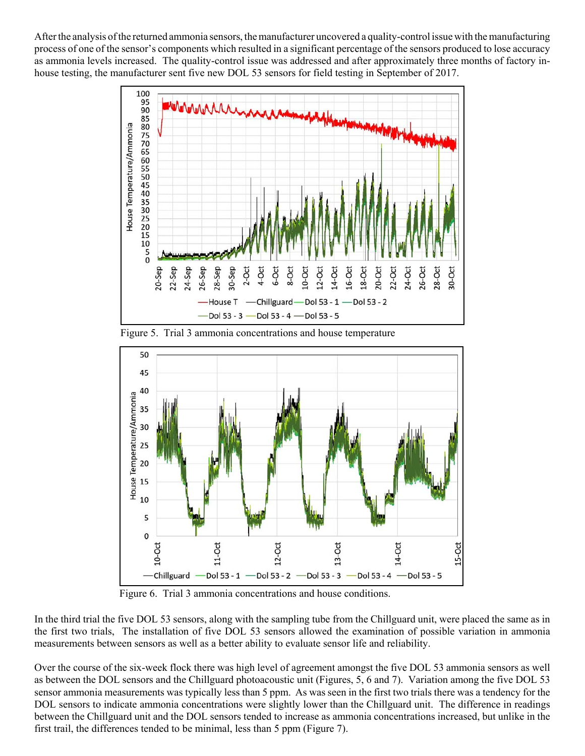After the analysis of the returned ammonia sensors, the manufacturer uncovered a quality-control issue with the manufacturing process of one of the sensor's components which resulted in a significant percentage of the sensors produced to lose accuracy as ammonia levels increased. The quality-control issue was addressed and after approximately three months of factory inhouse testing, the manufacturer sent five new DOL 53 sensors for field testing in September of 2017.



Figure 5. Trial 3 ammonia concentrations and house temperature



Figure 6. Trial 3 ammonia concentrations and house conditions.

In the third trial the five DOL 53 sensors, along with the sampling tube from the Chillguard unit, were placed the same as in the first two trials, The installation of five DOL 53 sensors allowed the examination of possible variation in ammonia measurements between sensors as well as a better ability to evaluate sensor life and reliability.

Over the course of the six-week flock there was high level of agreement amongst the five DOL 53 ammonia sensors as well as between the DOL sensors and the Chillguard photoacoustic unit (Figures, 5, 6 and 7). Variation among the five DOL 53 sensor ammonia measurements was typically less than 5 ppm. As was seen in the first two trials there was a tendency for the DOL sensors to indicate ammonia concentrations were slightly lower than the Chillguard unit. The difference in readings between the Chillguard unit and the DOL sensors tended to increase as ammonia concentrations increased, but unlike in the first trail, the differences tended to be minimal, less than 5 ppm (Figure 7).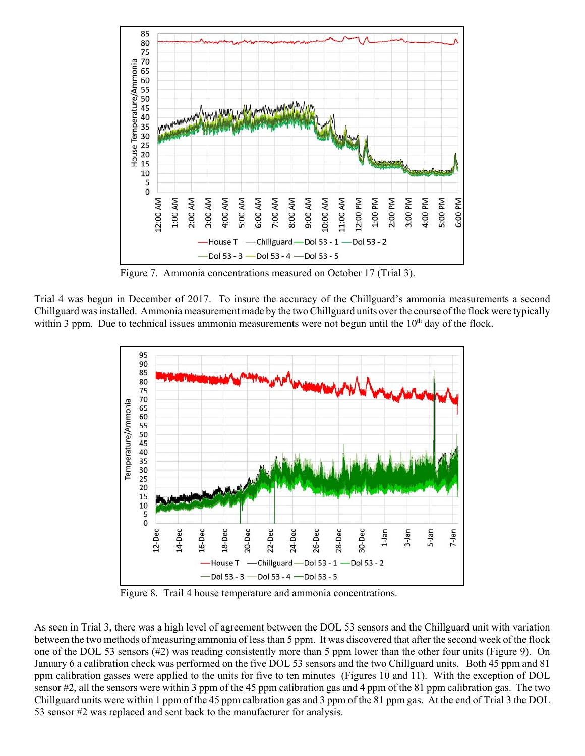

Figure 7. Ammonia concentrations measured on October 17 (Trial 3).

Trial 4 was begun in December of 2017. To insure the accuracy of the Chillguard's ammonia measurements a second Chillguard was installed. Ammonia measurement made by the two Chillguard units over the course of the flock were typically within 3 ppm. Due to technical issues ammonia measurements were not begun until the  $10<sup>th</sup>$  day of the flock.



Figure 8. Trail 4 house temperature and ammonia concentrations.

As seen in Trial 3, there was a high level of agreement between the DOL 53 sensors and the Chillguard unit with variation between the two methods of measuring ammonia of less than 5 ppm. It was discovered that after the second week of the flock one of the DOL 53 sensors (#2) was reading consistently more than 5 ppm lower than the other four units (Figure 9). On January 6 a calibration check was performed on the five DOL 53 sensors and the two Chillguard units. Both 45 ppm and 81 ppm calibration gasses were applied to the units for five to ten minutes (Figures 10 and 11). With the exception of DOL sensor #2, all the sensors were within 3 ppm of the 45 ppm calibration gas and 4 ppm of the 81 ppm calibration gas. The two Chillguard units were within 1 ppm of the 45 ppm calbration gas and 3 ppm of the 81 ppm gas. At the end of Trial 3 the DOL 53 sensor #2 was replaced and sent back to the manufacturer for analysis.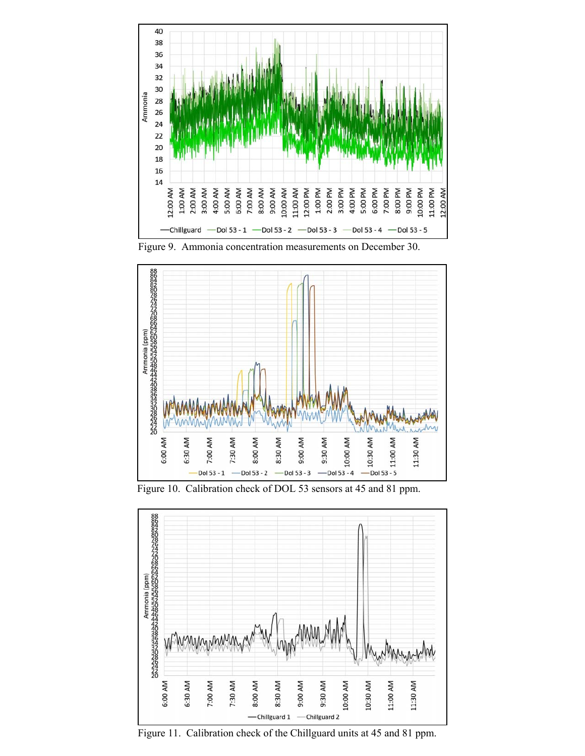





Figure 10. Calibration check of DOL 53 sensors at 45 and 81 ppm.



Figure 11. Calibration check of the Chillguard units at 45 and 81 ppm.